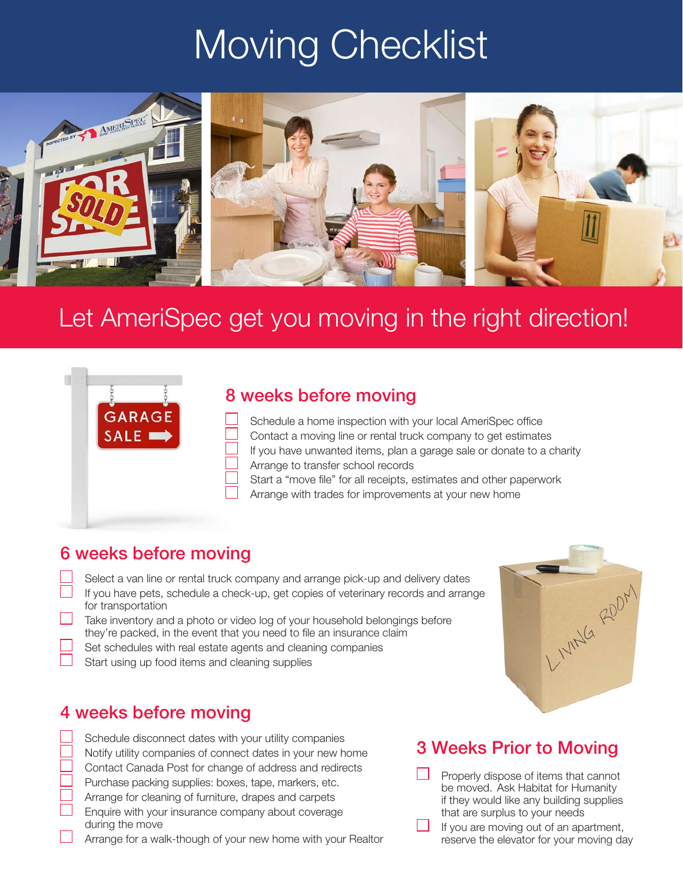## Moving Checklist



### Let AmeriSpec get you moving in the right direction!



#### 8 weeks before moving

| If you have unwanted items, plan a garage sale or donate to a charity |
|-----------------------------------------------------------------------|
|                                                                       |
|                                                                       |
|                                                                       |

Arrange with trades for improvements at your new home

#### 6 weeks before moving

Select a van line or rental truck company and arrange pick-up and delivery dates If you have pets, schedule a check-up, get copies of veterinary records and arrange for transportation

- Take inventory and a photo or video log of your household belongings before they're packed, in the event that you need to file an insurance claim
- Set schedules with real estate agents and cleaning companies
- Start using up food items and cleaning supplies

#### 4 weeks before moving

Schedule disconnect dates with your utility companies Notify utility companies of connect dates in your new home Contact Canada Post for change of address and redirects Purchase packing supplies: boxes, tape, markers, etc. Arrange for cleaning of furniture, drapes and carpets Enquire with your insurance company about coverage during the move

Arrange for a walk-though of your new home with your Realtor

# LIVING ROOM

#### 3 Weeks Prior to Moving

Properly dispose of items that cannot be moved. Ask Habitat for Humanity if they would like any building supplies that are surplus to your needs

If you are moving out of an apartment, reserve the elevator for your moving day